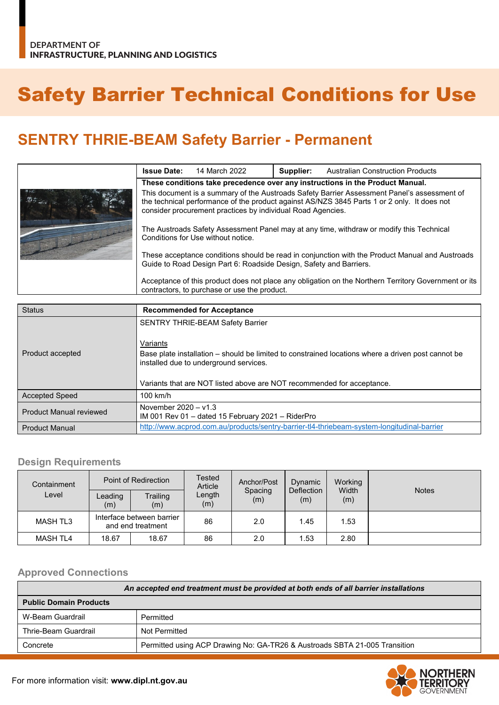# Safety Barrier Technical Conditions for Use

# **SENTRY THRIE-BEAM Safety Barrier - Permanent**

|  | <b>Issue Date:</b>                                                                                                                                                                                                                                        | 14 March 2022 | Supplier: | <b>Australian Construction Products</b> |
|--|-----------------------------------------------------------------------------------------------------------------------------------------------------------------------------------------------------------------------------------------------------------|---------------|-----------|-----------------------------------------|
|  | These conditions take precedence over any instructions in the Product Manual.                                                                                                                                                                             |               |           |                                         |
|  | This document is a summary of the Austroads Safety Barrier Assessment Panel's assessment of<br>the technical performance of the product against AS/NZS 3845 Parts 1 or 2 only. It does not<br>consider procurement practices by individual Road Agencies. |               |           |                                         |
|  | The Austroads Safety Assessment Panel may at any time, withdraw or modify this Technical<br>Conditions for Use without notice.                                                                                                                            |               |           |                                         |
|  | These acceptance conditions should be read in conjunction with the Product Manual and Austroads<br>Guide to Road Design Part 6: Roadside Design, Safety and Barriers.                                                                                     |               |           |                                         |
|  | Acceptance of this product does not place any obligation on the Northern Territory Government or its<br>contractors, to purchase or use the product.                                                                                                      |               |           |                                         |

| <b>Status</b>                  | <b>Recommended for Acceptance</b>                                                                                                                                                                                      |
|--------------------------------|------------------------------------------------------------------------------------------------------------------------------------------------------------------------------------------------------------------------|
|                                | <b>SENTRY THRIE-BEAM Safety Barrier</b><br>Variants                                                                                                                                                                    |
| Product accepted               | Base plate installation – should be limited to constrained locations where a driven post cannot be<br>installed due to underground services.<br>Variants that are NOT listed above are NOT recommended for acceptance. |
| <b>Accepted Speed</b>          | $100$ km/h                                                                                                                                                                                                             |
| <b>Product Manual reviewed</b> | November $2020 - v1.3$<br>IM 001 Rev 01 - dated 15 February 2021 - RiderPro                                                                                                                                            |
| <b>Product Manual</b>          | http://www.acprod.com.au/products/sentry-barrier-tl4-thriebeam-system-longitudinal-barrier                                                                                                                             |

#### **Design Requirements**

| Containment     | Point of Redirection                           |                 | <b>Tested</b><br>Article | Anchor/Post    | Dynamic           | Working      |              |
|-----------------|------------------------------------------------|-----------------|--------------------------|----------------|-------------------|--------------|--------------|
| Level           | Leading<br>(m)                                 | Trailing<br>(m) | Length<br>(m)            | Spacing<br>(m) | Deflection<br>(m) | Width<br>(m) | <b>Notes</b> |
| MASH TL3        | Interface between barrier<br>and end treatment |                 | 86                       | 2.0            | 1.45              | l.53         |              |
| <b>MASH TL4</b> | 18.67                                          | 18.67           | 86                       | 2.0            | 1.53              | 2.80         |              |

### **Approved Connections**

| An accepted end treatment must be provided at both ends of all barrier installations |                                                                            |  |  |
|--------------------------------------------------------------------------------------|----------------------------------------------------------------------------|--|--|
| <b>Public Domain Products</b>                                                        |                                                                            |  |  |
| W-Beam Guardrail                                                                     | Permitted                                                                  |  |  |
| Thrie-Beam Guardrail                                                                 | Not Permitted                                                              |  |  |
| Concrete                                                                             | Permitted using ACP Drawing No: GA-TR26 & Austroads SBTA 21-005 Transition |  |  |